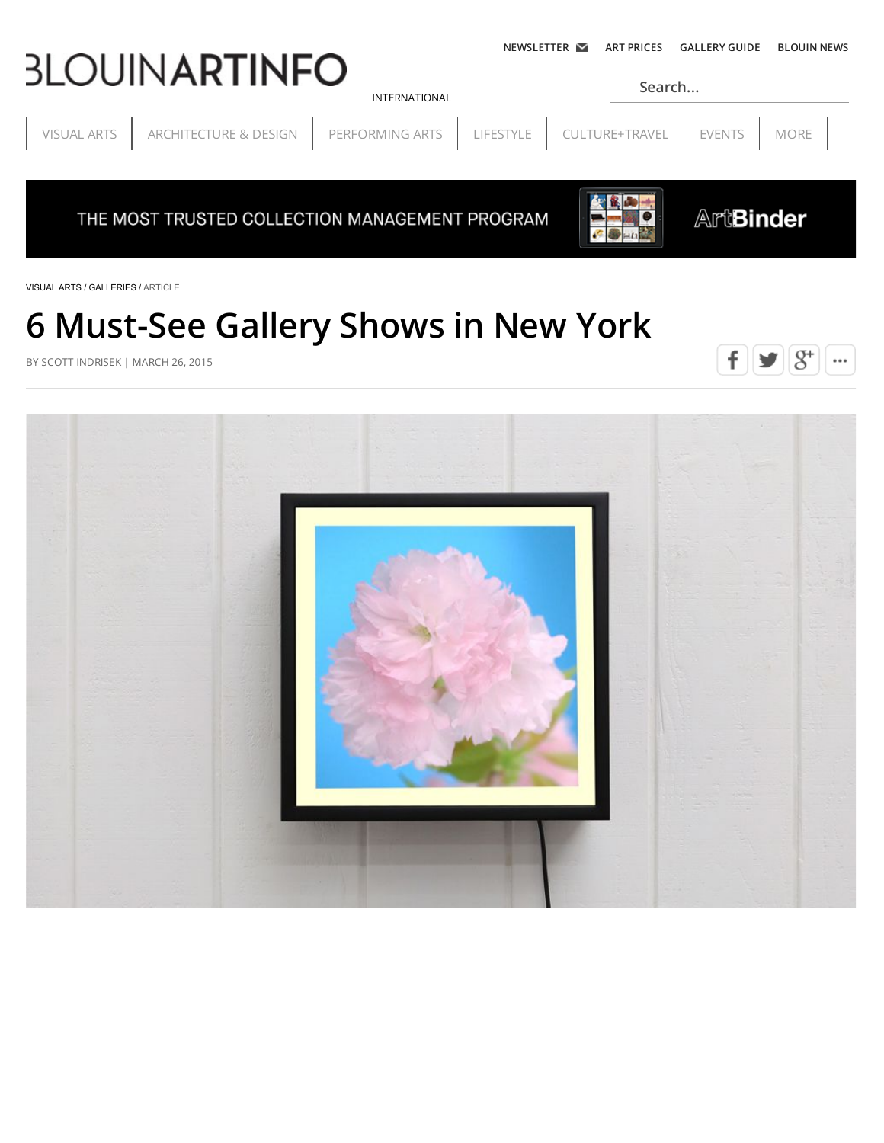# **3LOUINARTINFO**

**Search...**

[VISUAL ARTS](http://www.blouinartinfo.com/visual-arts) | [ARCHITECTURE & DESIGN](http://www.blouinartinfo.com/architecture-design) | [PERFORMING ARTS](http://www.blouinartinfo.com/performing-arts) | [LIFESTYLE](http://www.blouinartinfo.com/lifestyle) | CULTURE+TRAVEL | [EVENTS](http://www.blouinartinfo.com/events) | MORE

[INTERNATIONAL](javascript:void(0))

THE MOST TRUSTED COLLECTION MANAGEMENT PROGRAM



**ArtBinder** 

[VISUAL ARTS /](http://www.blouinartinfo.com/visual-arts) [GALLERIES / A](http://www.blouinartinfo.com/market-news/galleries)RTICLE

## **6 Must-See Gallery Shows in New York**

BY SCOTT INDRISEK | MARCH 26, 2015



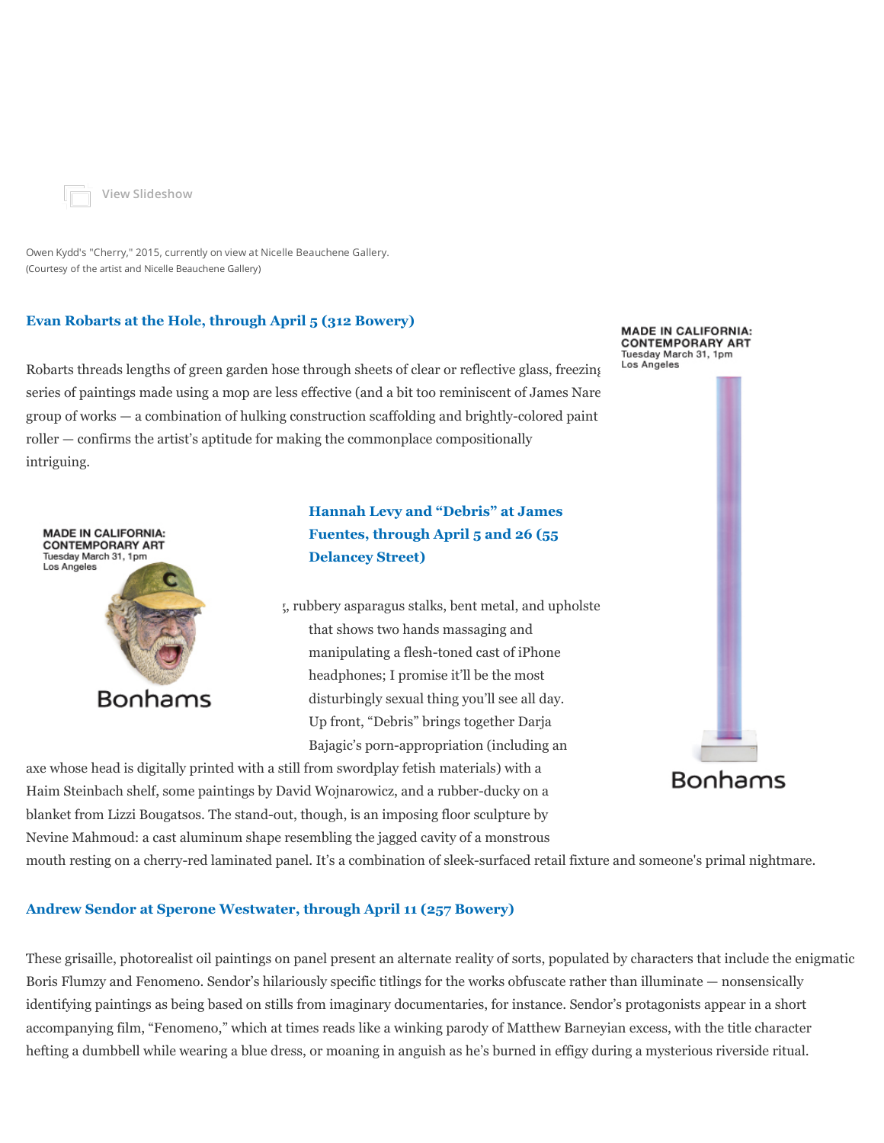

**[View Slideshow](http://www.blouinartinfo.com/photo-galleries/6-must-see-gallery-shows-evan-robarts-owen-kydd-and-more)**

Owen Kydd's "Cherry," 2015, currently on view at Nicelle Beauchene Gallery. (Courtesy of the artist and Nicelle Beauchene Gallery)

#### **[Evan Robarts at the Hole, through April 5 \(312 Bowery\)](http://theholenyc.com/2015/02/27/evan-robarts/)**

Robarts threads lengths of green garden hose through sheets of clear or reflective glass, freezing Los Angeles series of paintings made using a mop are less effective (and a bit too reminiscent of James Nares) group of works  $-$  a combination of hulking construction scaffolding and brightly-colored paint roller — confirms the artist's aptitude for making the commonplace compositionally intriguing.



**[Hannah Levy and "Debris" at James](http://www.jamesfuentes.com/) Fuentes, through April 5 and 26 (55 Delancey Street)**

 $\mu$ , rubbery asparagus stalks, bent metal, and upholstered lag that shows two hands massaging and manipulating a flesh-toned cast of iPhone headphones; I promise it'll be the most disturbingly sexual thing you'll see all day. Up front, "Debris" brings together Darja Bajagic's porn-appropriation (including an

axe whose head is digitally printed with a still from swordplay fetish materials) with a Haim Steinbach shelf, some paintings by David Wojnarowicz, and a rubber-ducky on a blanket from Lizzi Bougatsos. The stand-out, though, is an imposing floor sculpture by Nevine Mahmoud: a cast aluminum shape resembling the jagged cavity of a monstrous

mouth resting on a cherry-red laminated panel. It's a combination of sleek-surfaced retail fixture and someone's primal nightmare.

#### **[Andrew Sendor at Sperone Westwater, through April 11 \(257 Bowery\)](http://www.speronewestwater.com/exhibitions/andrew-sendor_2)**

These grisaille, photorealist oil paintings on panel present an alternate reality of sorts, populated by characters that include the enigmatic Boris Flumzy and Fenomeno. Sendor's hilariously specific titlings for the works obfuscate rather than illuminate — nonsensically identifying paintings as being based on stills from imaginary documentaries, for instance. Sendor's protagonists appear in a short accompanying film, "Fenomeno," which at times reads like a winking parody of Matthew Barneyian excess, with the title character hefting a dumbbell while wearing a blue dress, or moaning in anguish as he's burned in effigy during a mysterious riverside ritual.



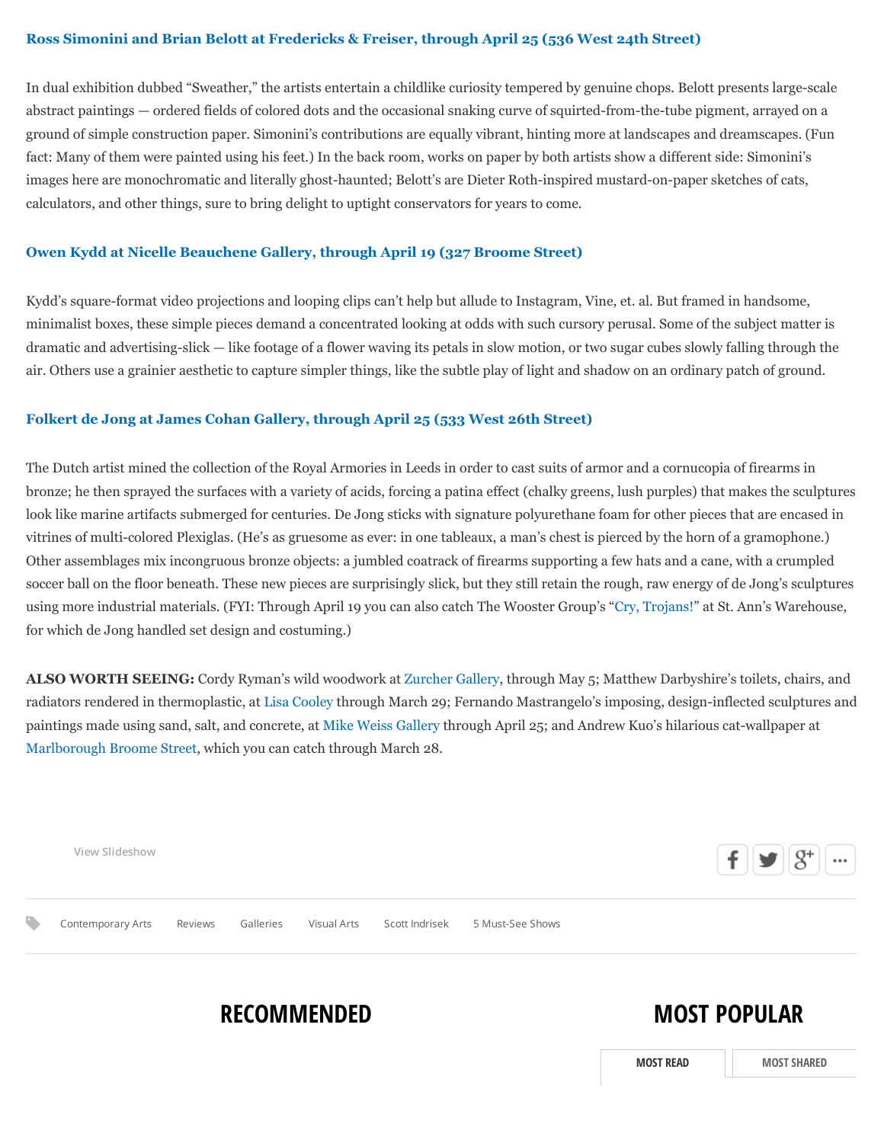#### **[Ross Simonini and Brian Belott at Fredericks & Freiser, through April 25 \(536 West 24th Street\)](http://www.fredericksfreisergallery.com/exhibitions/current/index.html)**

In dual exhibition dubbed "Sweather," the artists entertain a childlike curiosity tempered by genuine chops. Belott presents large-scale abstract paintings — ordered fields of colored dots and the occasional snaking curve of squirted-from-the-tube pigment, arrayed on a ground of simple construction paper. Simonini's contributions are equally vibrant, hinting more at landscapes and dreamscapes. (Fun fact: Many of them were painted using his feet.) In the back room, works on paper by both artists show a different side: Simonini's images here are monochromatic and literally ghost-haunted; Belott's are Dieter Roth-inspired mustard-on-paper sketches of cats, calculators, and other things, sure to bring delight to uptight conservators for years to come.

#### **[Owen Kydd at Nicelle Beauchene Gallery, through April 19 \(327 Broome Street\)](http://nicellebeauchene.com/exhibitions/4061-2/)**

Kydd's square-format video projections and looping clips can't help but allude to Instagram, Vine, et. al. But framed in handsome, minimalist boxes, these simple pieces demand a concentrated looking at odds with such cursory perusal. Some of the subject matter is dramatic and advertising-slick — like footage of a flower waving its petals in slow motion, or two sugar cubes slowly falling through the air. Others use a grainier aesthetic to capture simpler things, like the subtle play of light and shadow on an ordinary patch of ground.

#### **[Folkert de Jong at James Cohan Gallery, through April 25 \(533 West 26th Street\)](http://www.jamescohan.com/exhibitions/2015-03-19_folkert-de-jong)**

The Dutch artist mined the collection of the Royal Armories in Leeds in order to cast suits of armor and a cornucopia of firearms in bronze; he then sprayed the surfaces with a variety of acids, forcing a patina effect (chalky greens, lush purples) that makes the sculptures look like marine artifacts submerged for centuries. De Jong sticks with signature polyurethane foam for other pieces that are encased in vitrines of multi-colored Plexiglas. (He's as gruesome as ever: in one tableaux, a man's chest is pierced by the horn of a gramophone.) Other assemblages mix incongruous bronze objects: a jumbled coatrack of firearms supporting a few hats and a cane, with a crumpled soccer ball on the floor beneath. These new pieces are surprisingly slick, but they still retain the rough, raw energy of de Jong's sculptures using more industrial materials. (FYI: Through April 19 you can also catch The Wooster Group's ["Cry, Trojans!"](http://stannswarehouse.org/show/cry-trojans/) at St. Ann's Warehouse, for which de Jong handled set design and costuming.)

**ALSO WORTH SEEING:** Cordy Ryman's wild woodwork at [Zurcher Gallery](http://www.galeriezurcher.com/exhibitions/cordy-ryman_1079), through May 5; Matthew Darbyshire's toilets, chairs, and radiators rendered in thermoplastic, at [Lisa Cooley](http://www.lisa-cooley.com/exhibitions/matthew-darbyshire-suite) through March 29; Fernando Mastrangelo's imposing, design-inflected sculptures and paintings made using sand, salt, and concrete, at [Mike Weiss Gallery](http://www.mikeweissgallery.com/exhibition/91/#!21721) through April 25; and Andrew Kuo's hilarious cat-wallpaper at [Marlborough Broome Street,](http://marlboroughchelsea.com/broome-st/exhibitions/andrew-kuo-and-scott-reeder-it-gets-beta) which you can catch through March 28.

| View Slideshow    |         |           |                            |                  | $\mathbf{f} \in \mathbb{R}$ | $ 8^+ $ | $\cdots$ |
|-------------------|---------|-----------|----------------------------|------------------|-----------------------------|---------|----------|
| Contemporary Arts | Reviews | Galleries | Visual Arts Scott Indrisek | 5 Must-See Shows |                             |         |          |

## **RECOMMENDED**

### **MOST POPULAR**

**[MOST READ](http://www.blouinartinfo.com/news/story/1123246/6-must-see-gallery-shows-in-new-york?qt-article_detail_popular=0#qt-article_detail_popular) [MOST SHARED](http://www.blouinartinfo.com/news/story/1123246/6-must-see-gallery-shows-in-new-york?qt-article_detail_popular=2#qt-article_detail_popular)**